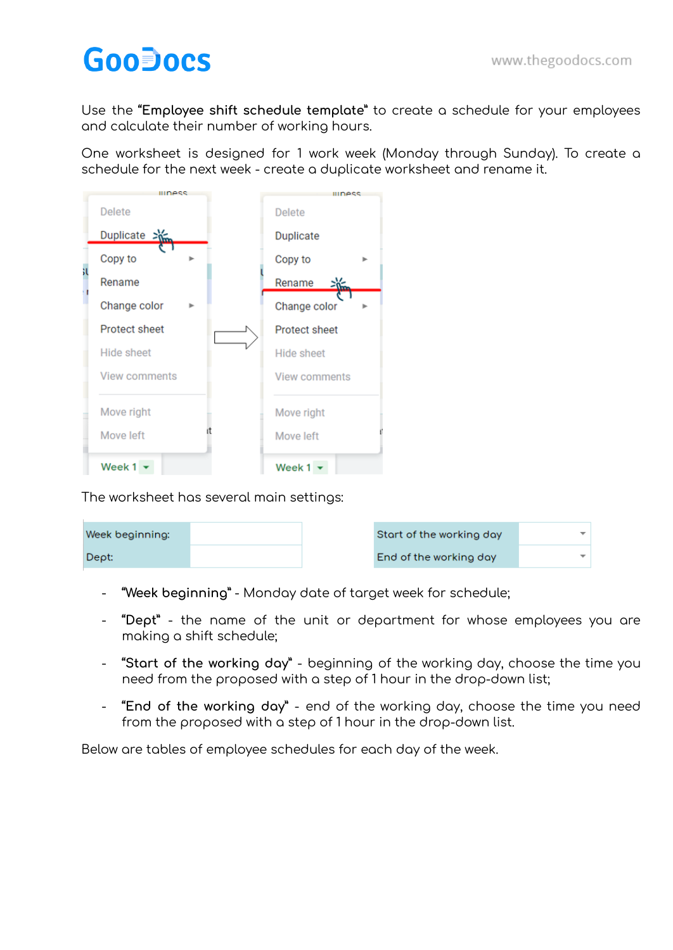## **GooDocs**

Use the **"Employee shift schedule template"** to create a schedule for your employees and calculate their number of working hours.

One worksheet is designed for 1 work week (Monday through Sunday). To create a schedule for the next week - create a duplicate worksheet and rename it.



The worksheet has several main settings:

| Week beginning: |  | Start of the working day |  |
|-----------------|--|--------------------------|--|
| Dept:           |  | End of the working day   |  |

- **"Week beginning"** Monday date of target week for schedule;
- **"Dept"** the name of the unit or department for whose employees you are making a shift schedule;
- **"Start of the working day"** beginning of the working day, choose the time you need from the proposed with a step of 1 hour in the drop-down list;
- **"End of the working day"** end of the working day, choose the time you need from the proposed with a step of 1 hour in the drop-down list.

Below are tables of employee schedules for each day of the week.